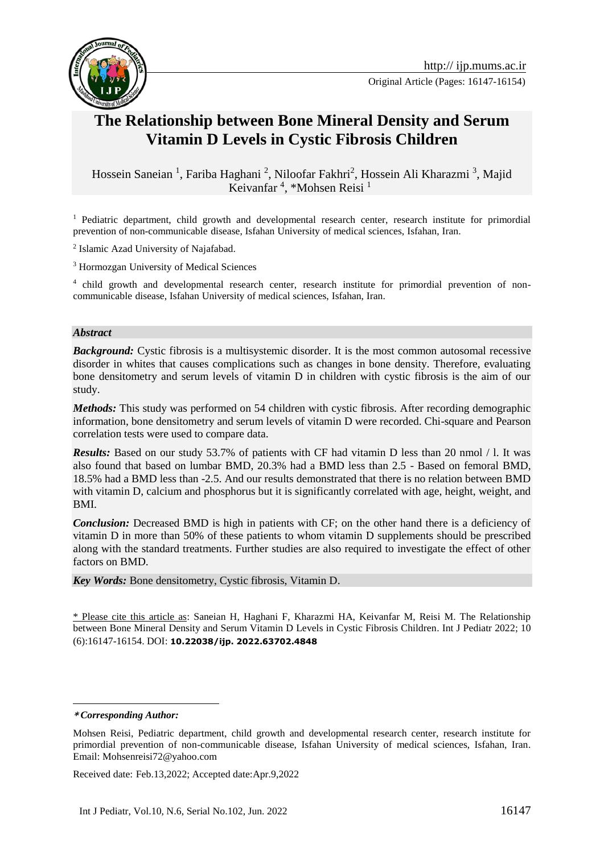

Original Article (Pages: 16147-16154)

# **The Relationship between Bone Mineral Density and Serum Vitamin D Levels in Cystic Fibrosis Children**

Hossein Saneian<sup>1</sup>, Fariba Haghani<sup>2</sup>, Niloofar Fakhri<sup>2</sup>, Hossein Ali Kharazmi<sup>3</sup>, Majid Keivanfar<sup>4</sup>, \*Mohsen Reisi<sup>1</sup>

<sup>1</sup> Pediatric department, child growth and developmental research center, research institute for primordial prevention of non-communicable disease, Isfahan University of medical sciences, Isfahan, Iran.

<sup>2</sup> Islamic Azad University of Najafabad.

<sup>3</sup> Hormozgan University of Medical Sciences

<sup>4</sup> child growth and developmental research center, research institute for primordial prevention of noncommunicable disease, Isfahan University of medical sciences, Isfahan, Iran.

#### *Abstract*

*Background:* Cystic fibrosis is a multisystemic disorder. It is the most common autosomal recessive disorder in whites that causes complications such as changes in bone density. Therefore, evaluating bone densitometry and serum levels of vitamin D in children with cystic fibrosis is the aim of our study.

*Methods:* This study was performed on 54 children with cystic fibrosis. After recording demographic information, bone densitometry and serum levels of vitamin D were recorded. Chi-square and Pearson correlation tests were used to compare data.

*Results:* Based on our study 53.7% of patients with CF had vitamin D less than 20 nmol / l. It was also found that based on lumbar BMD, 20.3% had a BMD less than 2.5 - Based on femoral BMD, 18.5% had a BMD less than -2.5. And our results demonstrated that there is no relation between BMD with vitamin D, calcium and phosphorus but it is significantly correlated with age, height, weight, and BMI.

*Conclusion:* Decreased BMD is high in patients with CF; on the other hand there is a deficiency of vitamin D in more than 50% of these patients to whom vitamin D supplements should be prescribed along with the standard treatments. Further studies are also required to investigate the effect of other factors on BMD.

*Key Words:* Bone densitometry, Cystic fibrosis, Vitamin D.

\* Please cite this article as: Saneian H, Haghani F, Kharazmi HA, Keivanfar M, Reisi M. The Relationship between Bone Mineral Density and Serum Vitamin D Levels in Cystic Fibrosis Children. Int J Pediatr 2022; 10 (6):16147-16154. DOI: **10.22038/ijp. 2022.63702.4848**

<u>.</u>

Received date: Feb.13,2022; Accepted date:Apr.9,2022

**<sup>\*</sup>** *Corresponding Author:*

Mohsen Reisi, Pediatric department, child growth and developmental research center, research institute for primordial prevention of non-communicable disease, Isfahan University of medical sciences, Isfahan, Iran. Email: Mohsenreisi72@yahoo.com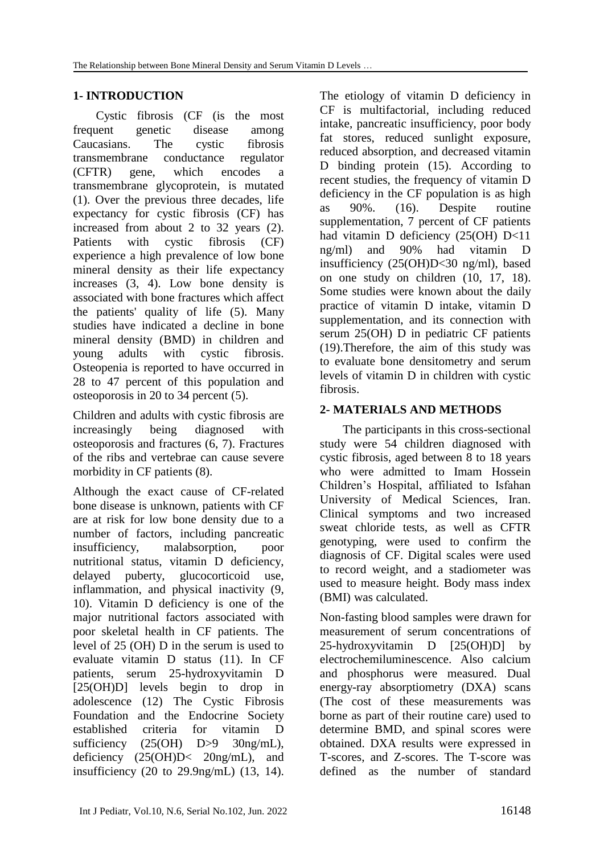# **1- INTRODUCTION**

Cystic fibrosis (CF (is the most frequent genetic disease among Caucasians. The cystic fibrosis transmembrane conductance regulator (CFTR) gene, which encodes a transmembrane glycoprotein, is mutated [\(1\)](#page-5-0). Over the previous three decades, life expectancy for cystic fibrosis (CF) has increased from about 2 to 32 years [\(2\)](#page-5-1). Patients with cystic fibrosis (CF) experience a high prevalence of low bone mineral density as their life expectancy increases [\(3,](#page-5-2) [4\)](#page-5-3). Low bone density is associated with bone fractures which affect the patients' quality of life [\(5\)](#page-5-4). Many studies have indicated a decline in bone mineral density (BMD) in children and young adults with cystic fibrosis. Osteopenia is reported to have occurred in 28 to 47 percent of this population and osteoporosis in 20 to 34 percent [\(5\)](#page-5-4).

Children and adults with cystic fibrosis are increasingly being diagnosed with osteoporosis and fractures [\(6,](#page-6-0) [7\)](#page-6-1). Fractures of the ribs and vertebrae can cause severe morbidity in CF patients [\(8\)](#page-6-2).

Although the exact cause of CF-related bone disease is unknown, patients with CF are at risk for low bone density due to a number of factors, including pancreatic insufficiency, malabsorption, poor nutritional status, vitamin D deficiency, delayed puberty, glucocorticoid use, inflammation, and physical inactivity [\(9,](#page-6-3) [10\)](#page-6-4). Vitamin D deficiency is one of the major nutritional factors associated with poor skeletal health in CF patients. The level of 25 (OH) D in the serum is used to evaluate vitamin D status [\(11\)](#page-6-5). In CF patients, serum 25-hydroxyvitamin D [25(OH)D] levels begin to drop in adolescence [\(12\)](#page-6-6) The Cystic Fibrosis Foundation and the Endocrine Society established criteria for vitamin D sufficiency (25(OH) D>9 30ng/mL), deficiency (25(OH)D< 20ng/mL), and insufficiency (20 to 29.9ng/mL) [\(13,](#page-6-7) [14\)](#page-6-8).

The etiology of vitamin D deficiency in CF is multifactorial, including reduced intake, pancreatic insufficiency, poor body fat stores, reduced sunlight exposure, reduced absorption, and decreased vitamin D binding protein [\(15\)](#page-6-9). According to recent studies, the frequency of vitamin D deficiency in the CF population is as high as 90%. [\(16\)](#page-6-10). Despite routine supplementation, 7 percent of CF patients had vitamin D deficiency (25(OH) D<11 ng/ml) and 90% had vitamin D insufficiency (25(OH)D<30 ng/ml), based on one study on children [\(10,](#page-6-4) [17,](#page-6-11) [18\)](#page-6-12). Some studies were known about the daily practice of vitamin D intake, vitamin D supplementation, and its connection with serum 25(OH) D in pediatric CF patients [\(19\)](#page-6-13).Therefore, the aim of this study was to evaluate bone densitometry and serum levels of vitamin D in children with cystic fibrosis.

# **2- MATERIALS AND METHODS**

The participants in this cross-sectional study were 54 children diagnosed with cystic fibrosis, aged between 8 to 18 years who were admitted to Imam Hossein Children's Hospital, affiliated to Isfahan University of Medical Sciences, Iran. Clinical symptoms and two increased sweat chloride tests, as well as CFTR genotyping, were used to confirm the diagnosis of CF. Digital scales were used to record weight, and a stadiometer was used to measure height. Body mass index (BMI) was calculated.

Non-fasting blood samples were drawn for measurement of serum concentrations of 25-hydroxyvitamin D [25(OH)D] by electrochemiluminescence. Also calcium and phosphorus were measured. Dual energy-ray absorptiometry (DXA) scans (The cost of these measurements was borne as part of their routine care) used to determine BMD, and spinal scores were obtained. DXA results were expressed in T-scores, and Z-scores. The T-score was defined as the number of standard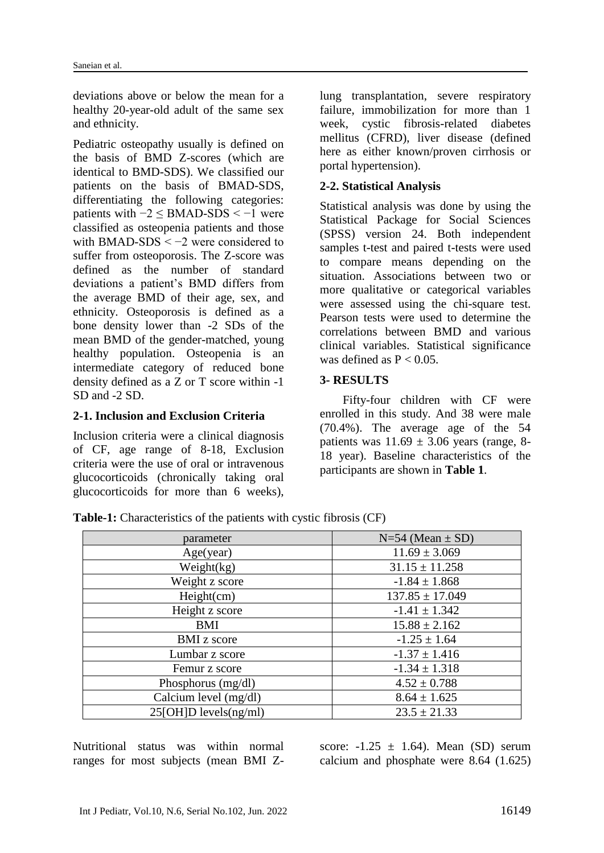deviations above or below the mean for a healthy 20-year-old adult of the same sex and ethnicity.

Pediatric osteopathy usually is defined on the basis of BMD Z-scores (which are identical to BMD-SDS). We classified our patients on the basis of BMAD-SDS, differentiating the following categories: patients with  $-2 \leq$  BMAD-SDS <  $-1$  were classified as osteopenia patients and those with BMAD-SDS < −2 were considered to suffer from osteoporosis. The Z-score was defined as the number of standard deviations a patient's BMD differs from the average BMD of their age, sex, and ethnicity. Osteoporosis is defined as a bone density lower than -2 SDs of the mean BMD of the gender-matched, young healthy population. Osteopenia is an intermediate category of reduced bone density defined as a Z or T score within -1 SD and -2 SD.

# **2-1. Inclusion and Exclusion Criteria**

Inclusion criteria were a clinical diagnosis of CF, age range of 8-18, Exclusion criteria were the use of oral or intravenous glucocorticoids (chronically taking oral glucocorticoids for more than 6 weeks),

lung transplantation, severe respiratory failure, immobilization for more than 1 week, cystic fibrosis-related diabetes mellitus (CFRD), liver disease (defined here as either known/proven cirrhosis or portal hypertension).

# **2-2. Statistical Analysis**

Statistical analysis was done by using the Statistical Package for Social Sciences (SPSS) version 24. Both independent samples t-test and paired t-tests were used to compare means depending on the situation. Associations between two or more qualitative or categorical variables were assessed using the chi-square test. Pearson tests were used to determine the correlations between BMD and various clinical variables. Statistical significance was defined as  $P < 0.05$ .

### **3- RESULTS**

Fifty-four children with CF were enrolled in this study. And 38 were male (70.4%). The average age of the 54 patients was  $11.69 \pm 3.06$  years (range, 8-18 year). Baseline characteristics of the participants are shown in **Table 1**.

| parameter                  | $N=54$ (Mean $\pm$ SD) |
|----------------------------|------------------------|
| Age(year)                  | $11.69 \pm 3.069$      |
| Weight(kg)                 | $31.15 \pm 11.258$     |
| Weight z score             | $-1.84 \pm 1.868$      |
| Height(cm)                 | $137.85 \pm 17.049$    |
| Height z score             | $-1.41 \pm 1.342$      |
| <b>BMI</b>                 | $15.88 \pm 2.162$      |
| <b>BMI</b> z score         | $-1.25 \pm 1.64$       |
| Lumbar z score             | $-1.37 \pm 1.416$      |
| Femur z score              | $-1.34 \pm 1.318$      |
| Phosphorus (mg/dl)         | $4.52 \pm 0.788$       |
| Calcium level (mg/dl)      | $8.64 \pm 1.625$       |
| $25[OH]D$ levels $(ng/ml)$ | $23.5 \pm 21.33$       |

**Table-1:** Characteristics of the patients with cystic fibrosis (CF)

Nutritional status was within normal ranges for most subjects (mean BMI Z-

score:  $-1.25 \pm 1.64$ ). Mean (SD) serum calcium and phosphate were 8.64 (1.625)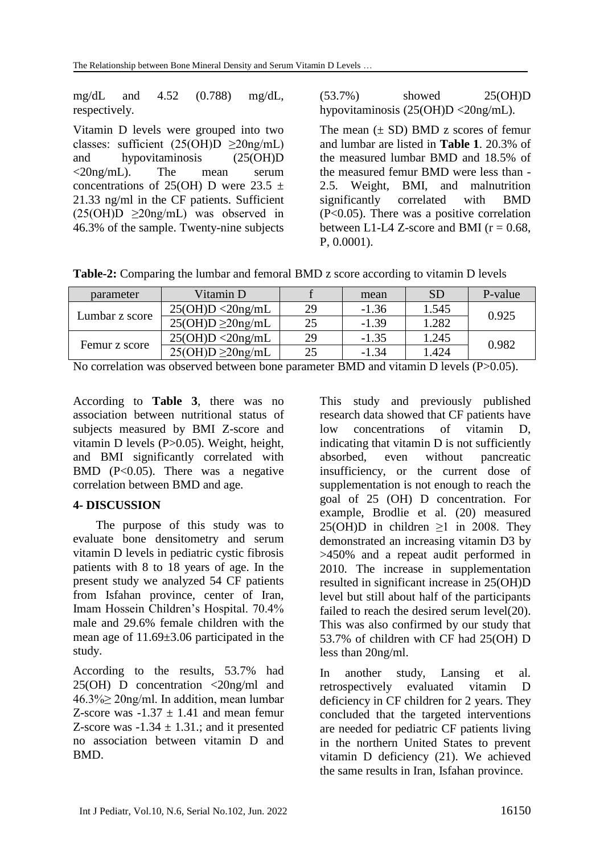mg/dL and 4.52 (0.788) mg/dL, respectively.

Vitamin D levels were grouped into two classes: sufficient  $(25(OH)D \geq 20ng/mL)$ and hypovitaminosis (25(OH)D <20ng/mL). The mean serum concentrations of 25(OH) D were  $23.5 \pm$ 21.33 ng/ml in the CF patients. Sufficient  $(25(OH)D \geq 20ng/mL)$  was observed in 46.3% of the sample. Twenty-nine subjects (53.7%) showed 25(OH)D hypovitaminosis (25(OH)D <20ng/mL).

The mean  $(\pm SD)$  BMD z scores of femur and lumbar are listed in **Table 1**. 20.3% of the measured lumbar BMD and 18.5% of the measured femur BMD were less than - 2.5. Weight, BMI, and malnutrition significantly correlated with BMD (P<0.05). There was a positive correlation between L1-L4 Z-score and BMI ( $r = 0.68$ , P, 0.0001).

**Table-2:** Comparing the lumbar and femoral BMD z score according to vitamin D levels

| parameter      | Vitamin D              |    | mean    | <b>SD</b> | P-value |  |  |
|----------------|------------------------|----|---------|-----------|---------|--|--|
| Lumbar z score | 25(OH)D < 20ng/mL      | 29 | $-1.36$ | 1.545     | 0.925   |  |  |
|                | $25(OH)D \geq 20ng/mL$ | 25 | $-1.39$ | 1.282     |         |  |  |
| Femur z score  | 25(OH)D < 20ng/mL      | 29 | $-1.35$ | 1.245     | 0.982   |  |  |
|                | $25(OH)D \geq 20ng/mL$ | 25 | $-1.34$ | 1.424     |         |  |  |

No correlation was observed between bone parameter BMD and vitamin D levels (P>0.05).

According to **Table 3**, there was no association between nutritional status of subjects measured by BMI Z-score and vitamin D levels (P>0.05). Weight, height, and BMI significantly correlated with BMD (P<0.05). There was a negative correlation between BMD and age.

### **4- DISCUSSION**

The purpose of this study was to evaluate bone densitometry and serum vitamin D levels in pediatric cystic fibrosis patients with 8 to 18 years of age. In the present study we analyzed 54 CF patients from Isfahan province, center of Iran, Imam Hossein Children's Hospital. 70.4% male and 29.6% female children with the mean age of 11.69±3.06 participated in the study.

According to the results, 53.7% had 25(OH) D concentration <20ng/ml and 46.3%≥ 20ng/ml. In addition, mean lumbar Z-score was  $-1.37 \pm 1.41$  and mean femur Z-score was  $-1.34 \pm 1.31$ .; and it presented no association between vitamin D and BMD.

This study and previously published research data showed that CF patients have low concentrations of vitamin D, indicating that vitamin D is not sufficiently absorbed, even without pancreatic insufficiency, or the current dose of supplementation is not enough to reach the goal of 25 (OH) D concentration. For example, Brodlie et al. [\(20\)](#page-6-14) measured 25(OH)D in children ≥1 in 2008. They demonstrated an increasing vitamin D3 by >450% and a repeat audit performed in 2010. The increase in supplementation resulted in significant increase in 25(OH)D level but still about half of the participants failed to reach the desired serum level[\(20\)](#page-6-14). This was also confirmed by our study that 53.7% of children with CF had 25(OH) D less than 20ng/ml.

In another study, Lansing et al. retrospectively evaluated vitamin D deficiency in CF children for 2 years. They concluded that the targeted interventions are needed for pediatric CF patients living in the northern United States to prevent vitamin D deficiency [\(21\)](#page-7-0). We achieved the same results in Iran, Isfahan province.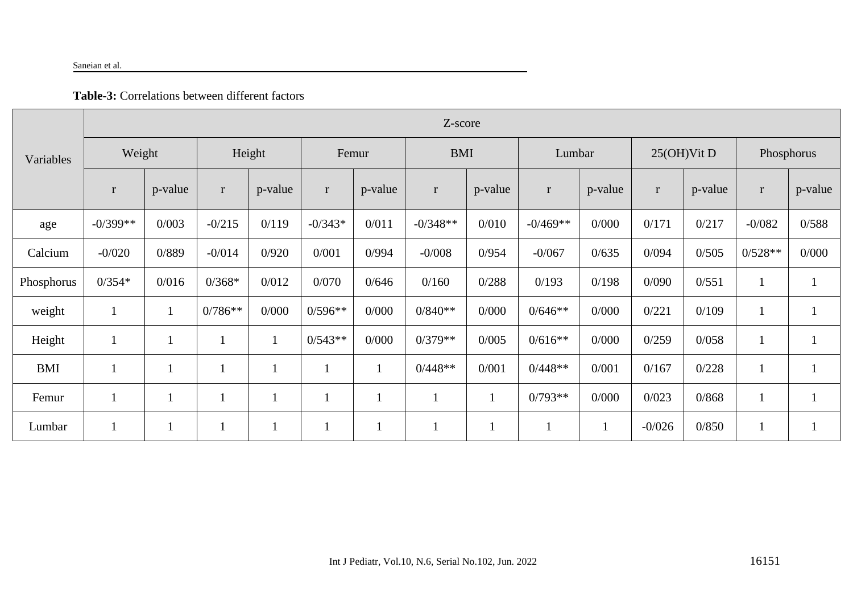#### Saneian et al.

# **Table-3:** Correlations between different factors

| Variables  | Z-score      |              |              |         |             |         |              |         |            |              |                |         |              |         |
|------------|--------------|--------------|--------------|---------|-------------|---------|--------------|---------|------------|--------------|----------------|---------|--------------|---------|
|            | Weight       |              | Height       |         | Femur       |         | <b>BMI</b>   |         | Lumbar     |              | $25(OH)V$ it D |         | Phosphorus   |         |
|            | $\bf r$      | p-value      | $\mathbf{r}$ | p-value | $\bf r$     | p-value | $\mathbf{r}$ | p-value | $\bf r$    | p-value      | $\mathbf{r}$   | p-value | $\mathbf{r}$ | p-value |
| age        | $-0/399**$   | 0/003        | $-0/215$     | 0/119   | $-0/343*$   | 0/011   | $-0/348**$   | 0/010   | $-0/469**$ | 0/000        | 0/171          | 0/217   | $-0/082$     | 0/588   |
| Calcium    | $-0/020$     | 0/889        | $-0/014$     | 0/920   | 0/001       | 0/994   | $-0/008$     | 0/954   | $-0/067$   | 0/635        | 0/094          | 0/505   | $0/528**$    | 0/000   |
| Phosphorus | $0/354*$     | 0/016        | $0/368*$     | 0/012   | 0/070       | 0/646   | 0/160        | 0/288   | 0/193      | 0/198        | 0/090          | 0/551   |              |         |
| weight     | $\perp$      | $\mathbf{1}$ | $0/786**$    | 0/000   | $0/596**$   | 0/000   | $0/840**$    | 0/000   | $0/646**$  | 0/000        | 0/221          | 0/109   |              |         |
| Height     |              | $\mathbf{1}$ |              | $\perp$ | $0/543**$   | 0/000   | $0/379**$    | 0/005   | $0/616**$  | 0/000        | 0/259          | 0/058   |              |         |
| <b>BMI</b> |              | $\mathbf 1$  |              |         | $\mathbf 1$ |         | $0/448**$    | 0/001   | $0/448**$  | 0/001        | 0/167          | 0/228   |              |         |
| Femur      | $\mathbf{1}$ | $\mathbf{1}$ |              |         | $\mathbf 1$ |         | $\perp$      |         | $0/793**$  | 0/000        | 0/023          | 0/868   |              |         |
| Lumbar     |              | $\mathbf{1}$ |              |         |             |         | $\mathbf{I}$ |         |            | $\mathbf{1}$ | $-0/026$       | 0/850   |              |         |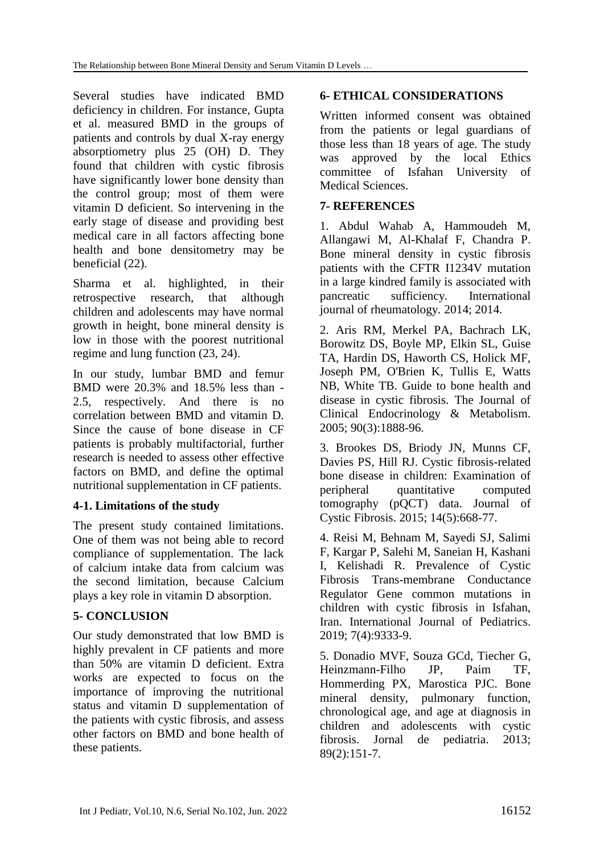Several studies have indicated BMD deficiency in children. For instance, Gupta et al. measured BMD in the groups of patients and controls by dual X-ray energy absorptiometry plus 25 (OH) D. They found that children with cystic fibrosis have significantly lower bone density than the control group; most of them were vitamin D deficient. So intervening in the early stage of disease and providing best medical care in all factors affecting bone health and bone densitometry may be beneficial [\(22\)](#page-7-1).

Sharma et al. highlighted, in their retrospective research, that although children and adolescents may have normal growth in height, bone mineral density is low in those with the poorest nutritional regime and lung function [\(23,](#page-7-2) [24\)](#page-7-3).

In our study, lumbar BMD and femur BMD were 20.3% and 18.5% less than - 2.5, respectively. And there is no correlation between BMD and vitamin D. Since the cause of bone disease in CF patients is probably multifactorial, further research is needed to assess other effective factors on BMD, and define the optimal nutritional supplementation in CF patients.

# **4-1. Limitations of the study**

The present study contained limitations. One of them was not being able to record compliance of supplementation. The lack of calcium intake data from calcium was the second limitation, because Calcium plays a key role in vitamin D absorption.

### **5- CONCLUSION**

Our study demonstrated that low BMD is highly prevalent in CF patients and more than 50% are vitamin D deficient. Extra works are expected to focus on the importance of improving the nutritional status and vitamin D supplementation of the patients with cystic fibrosis, and assess other factors on BMD and bone health of these patients.

# **6- ETHICAL CONSIDERATIONS**

Written informed consent was obtained from the patients or legal guardians of those less than 18 years of age. The study was approved by the local Ethics committee of Isfahan University of Medical Sciences.

# **7- REFERENCES**

<span id="page-5-0"></span>1. Abdul Wahab A, Hammoudeh M, Allangawi M, Al-Khalaf F, Chandra P. Bone mineral density in cystic fibrosis patients with the CFTR I1234V mutation in a large kindred family is associated with pancreatic sufficiency. International journal of rheumatology. 2014; 2014.

<span id="page-5-1"></span>2. Aris RM, Merkel PA, Bachrach LK, Borowitz DS, Boyle MP, Elkin SL, Guise TA, Hardin DS, Haworth CS, Holick MF, Joseph PM, O'Brien K, Tullis E, Watts NB, White TB. Guide to bone health and disease in cystic fibrosis. The Journal of Clinical Endocrinology & Metabolism. 2005; 90(3):1888-96.

<span id="page-5-2"></span>3. Brookes DS, Briody JN, Munns CF, Davies PS, Hill RJ. Cystic fibrosis-related bone disease in children: Examination of peripheral quantitative computed tomography (pQCT) data. Journal of Cystic Fibrosis. 2015; 14(5):668-77.

<span id="page-5-3"></span>4. Reisi M, Behnam M, Sayedi SJ, Salimi F, Kargar P, Salehi M, Saneian H, Kashani I, Kelishadi R. Prevalence of Cystic Fibrosis Trans-membrane Conductance Regulator Gene common mutations in children with cystic fibrosis in Isfahan, Iran. International Journal of Pediatrics. 2019; 7(4):9333-9.

<span id="page-5-4"></span>5. Donadio MVF, Souza GCd, Tiecher G, Heinzmann-Filho JP, Paim TF, Hommerding PX, Marostica PJC. Bone mineral density, pulmonary function, chronological age, and age at diagnosis in children and adolescents with cystic fibrosis. Jornal de pediatria. 2013; 89(2):151-7.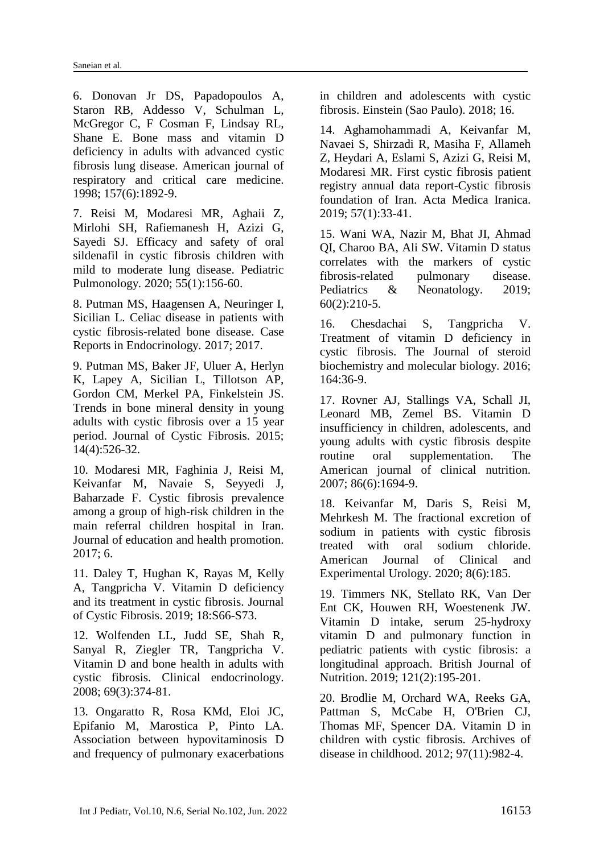<span id="page-6-0"></span>6. Donovan Jr DS, Papadopoulos A, Staron RB, Addesso V, Schulman L, McGregor C, F Cosman F, Lindsay RL, Shane E. Bone mass and vitamin D deficiency in adults with advanced cystic fibrosis lung disease. American journal of respiratory and critical care medicine. 1998; 157(6):1892-9.

<span id="page-6-1"></span>7. Reisi M, Modaresi MR, Aghaii Z, Mirlohi SH, Rafiemanesh H, Azizi G, Sayedi SJ. Efficacy and safety of oral sildenafil in cystic fibrosis children with mild to moderate lung disease. Pediatric Pulmonology. 2020; 55(1):156-60.

<span id="page-6-2"></span>8. Putman MS, Haagensen A, Neuringer I, Sicilian L. Celiac disease in patients with cystic fibrosis-related bone disease. Case Reports in Endocrinology. 2017; 2017.

<span id="page-6-3"></span>9. Putman MS, Baker JF, Uluer A, Herlyn K, Lapey A, Sicilian L, Tillotson AP, Gordon CM, Merkel PA, Finkelstein JS. Trends in bone mineral density in young adults with cystic fibrosis over a 15 year period. Journal of Cystic Fibrosis. 2015; 14(4):526-32.

<span id="page-6-4"></span>10. Modaresi MR, Faghinia J, Reisi M, Keivanfar M, Navaie S, Seyyedi J, Baharzade F. Cystic fibrosis prevalence among a group of high-risk children in the main referral children hospital in Iran. Journal of education and health promotion. 2017; 6.

<span id="page-6-5"></span>11. Daley T, Hughan K, Rayas M, Kelly A, Tangpricha V. Vitamin D deficiency and its treatment in cystic fibrosis. Journal of Cystic Fibrosis. 2019; 18:S66-S73.

<span id="page-6-6"></span>12. Wolfenden LL, Judd SE, Shah R, Sanyal R, Ziegler TR, Tangpricha V. Vitamin D and bone health in adults with cystic fibrosis. Clinical endocrinology. 2008; 69(3):374-81.

<span id="page-6-7"></span>13. Ongaratto R, Rosa KMd, Eloi JC, Epifanio M, Marostica P, Pinto LA. Association between hypovitaminosis D and frequency of pulmonary exacerbations in children and adolescents with cystic fibrosis. Einstein (Sao Paulo). 2018; 16.

<span id="page-6-8"></span>14. Aghamohammadi A, Keivanfar M, Navaei S, Shirzadi R, Masiha F, Allameh Z, Heydari A, Eslami S, Azizi G, Reisi M, Modaresi MR. First cystic fibrosis patient registry annual data report-Cystic fibrosis foundation of Iran. Acta Medica Iranica. 2019; 57(1):33-41.

<span id="page-6-9"></span>15. Wani WA, Nazir M, Bhat JI, Ahmad QI, Charoo BA, Ali SW. Vitamin D status correlates with the markers of cystic fibrosis-related pulmonary disease. Pediatrics & Neonatology. 2019; 60(2):210-5.

<span id="page-6-10"></span>16. Chesdachai S, Tangpricha V. Treatment of vitamin D deficiency in cystic fibrosis. The Journal of steroid biochemistry and molecular biology. 2016; 164:36-9.

<span id="page-6-11"></span>17. Rovner AJ, Stallings VA, Schall JI, Leonard MB, Zemel BS. Vitamin D insufficiency in children, adolescents, and young adults with cystic fibrosis despite routine oral supplementation. The American journal of clinical nutrition. 2007; 86(6):1694-9.

<span id="page-6-12"></span>18. Keivanfar M, Daris S, Reisi M, Mehrkesh M. The fractional excretion of sodium in patients with cystic fibrosis treated with oral sodium chloride. American Journal of Clinical and Experimental Urology. 2020; 8(6):185.

<span id="page-6-13"></span>19. Timmers NK, Stellato RK, Van Der Ent CK, Houwen RH, Woestenenk JW. Vitamin D intake, serum 25-hydroxy vitamin D and pulmonary function in pediatric patients with cystic fibrosis: a longitudinal approach. British Journal of Nutrition. 2019; 121(2):195-201.

<span id="page-6-14"></span>20. Brodlie M, Orchard WA, Reeks GA, Pattman S, McCabe H, O'Brien CJ, Thomas MF, Spencer DA. Vitamin D in children with cystic fibrosis. Archives of disease in childhood. 2012; 97(11):982-4.